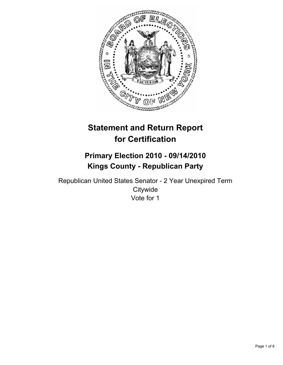

# **Statement and Return Report for Certification**

# **Primary Election 2010 - 09/14/2010 Kings County - Republican Party**

Republican United States Senator - 2 Year Unexpired Term **Citywide** Vote for 1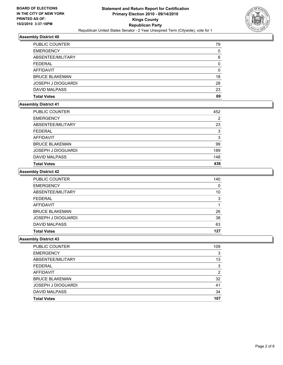

| PUBLIC COUNTER            | 79 |
|---------------------------|----|
| <b>EMERGENCY</b>          | 0  |
| ABSENTEE/MILITARY         | 6  |
| <b>FEDERAL</b>            | 0  |
| <b>AFFIDAVIT</b>          | 0  |
| <b>BRUCE BLAKEMAN</b>     | 18 |
| <b>JOSEPH J DIOGUARDI</b> | 28 |
| <b>DAVID MALPASS</b>      | 23 |
| <b>Total Votes</b>        | 69 |

#### **Assembly District 41**

| <b>PUBLIC COUNTER</b> | 452 |
|-----------------------|-----|
| <b>EMERGENCY</b>      | 2   |
| ABSENTEE/MILITARY     | 23  |
| FEDERAL               | 3   |
| AFFIDAVIT             | 3   |
| <b>BRUCE BLAKEMAN</b> | 99  |
| JOSEPH J DIOGUARDI    | 189 |
| <b>DAVID MALPASS</b>  | 148 |
| <b>Total Votes</b>    | 436 |

#### **Assembly District 42**

| <b>PUBLIC COUNTER</b> | 140 |
|-----------------------|-----|
| <b>EMERGENCY</b>      | 0   |
| ABSENTEE/MILITARY     | 10  |
| <b>FEDERAL</b>        | 3   |
| AFFIDAVIT             |     |
| <b>BRUCE BLAKEMAN</b> | 26  |
| JOSEPH J DIOGUARDI    | 38  |
| <b>DAVID MALPASS</b>  | 63  |
| <b>Total Votes</b>    | 127 |

| <b>PUBLIC COUNTER</b>     | 109 |
|---------------------------|-----|
| <b>EMERGENCY</b>          | 3   |
| ABSENTEE/MILITARY         | 13  |
| <b>FEDERAL</b>            | 3   |
| AFFIDAVIT                 | 2   |
| <b>BRUCE BLAKEMAN</b>     | 32  |
| <b>JOSEPH J DIOGUARDI</b> | 41  |
| DAVID MALPASS             | 34  |
| <b>Total Votes</b>        | 107 |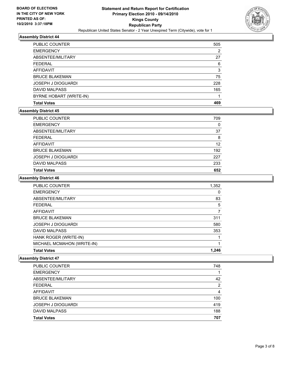

| PUBLIC COUNTER          | 505 |
|-------------------------|-----|
| <b>EMERGENCY</b>        | 2   |
| ABSENTEE/MILITARY       | 27  |
| <b>FEDERAL</b>          | 6   |
| AFFIDAVIT               | 3   |
| <b>BRUCE BLAKEMAN</b>   | 75  |
| JOSEPH J DIOGUARDI      | 228 |
| DAVID MALPASS           | 165 |
| BYRNE HOBART (WRITE-IN) |     |
| <b>Total Votes</b>      | 469 |

#### **Assembly District 45**

| 709 |
|-----|
| 0   |
| 37  |
| 8   |
| 12  |
| 192 |
| 227 |
| 233 |
| 652 |
|     |

# **Assembly District 46**

| <b>PUBLIC COUNTER</b>      | 1,352 |
|----------------------------|-------|
| <b>EMERGENCY</b>           | 0     |
| ABSENTEE/MILITARY          | 83    |
| <b>FEDERAL</b>             | 5     |
| <b>AFFIDAVIT</b>           | 7     |
| <b>BRUCE BLAKEMAN</b>      | 311   |
| <b>JOSEPH J DIOGUARDI</b>  | 580   |
| DAVID MALPASS              | 353   |
| HANK ROGER (WRITE-IN)      |       |
| MICHAEL MCMAHON (WRITE-IN) |       |
| <b>Total Votes</b>         | 1.246 |

| <b>Total Votes</b>        | 707 |
|---------------------------|-----|
| <b>DAVID MALPASS</b>      | 188 |
| <b>JOSEPH J DIOGUARDI</b> | 419 |
| <b>BRUCE BLAKEMAN</b>     | 100 |
| <b>AFFIDAVIT</b>          | 4   |
| <b>FEDERAL</b>            | 2   |
| ABSENTEE/MILITARY         | 42  |
| <b>EMERGENCY</b>          |     |
| PUBLIC COUNTER            | 748 |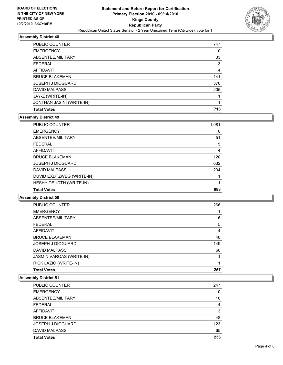

| <b>PUBLIC COUNTER</b>     | 747 |
|---------------------------|-----|
| <b>EMERGENCY</b>          | 0   |
| ABSENTEE/MILITARY         | 33  |
| <b>FEDERAL</b>            | 3   |
| AFFIDAVIT                 | 4   |
| <b>BRUCE BLAKEMAN</b>     | 141 |
| <b>JOSEPH J DIOGUARDI</b> | 370 |
| <b>DAVID MALPASS</b>      | 205 |
| JAY-Z (WRITE-IN)          |     |
| JONTHAN JASINI (WRITE-IN) | 1   |
| <b>Total Votes</b>        | 718 |

# **Assembly District 49**

| PUBLIC COUNTER            | 1,081 |
|---------------------------|-------|
| <b>EMERGENCY</b>          | 0     |
| ABSENTEE/MILITARY         | 51    |
| <b>FEDERAL</b>            | 5     |
| <b>AFFIDAVIT</b>          | 4     |
| <b>BRUCE BLAKEMAN</b>     | 120   |
| <b>JOSEPH J DIOGUARDI</b> | 632   |
| <b>DAVID MALPASS</b>      | 234   |
| DUVID EXDTZWEG (WRITE-IN) |       |
| HESHY DEUDTH (WRITE-IN)   |       |
| <b>Total Votes</b>        | 988   |

**Assembly District 50**

| <b>Total Votes</b>              | 257 |
|---------------------------------|-----|
| RICK LAZIO (WRITE-IN)           |     |
| <b>JASMIN VARQAS (WRITE-IN)</b> |     |
| <b>DAVID MALPASS</b>            | 66  |
| <b>JOSEPH J DIOGUARDI</b>       | 149 |
| <b>BRUCE BLAKEMAN</b>           | 40  |
| AFFIDAVIT                       | 4   |
| <b>FEDERAL</b>                  | 5   |
| ABSENTEE/MILITARY               | 16  |
| <b>EMERGENCY</b>                |     |
| <b>PUBLIC COUNTER</b>           | 266 |

| PUBLIC COUNTER            | 247 |
|---------------------------|-----|
| <b>EMERGENCY</b>          | 0   |
| ABSENTEE/MILITARY         | 16  |
| <b>FEDERAL</b>            | 4   |
| <b>AFFIDAVIT</b>          | 3   |
| <b>BRUCE BLAKEMAN</b>     | 48  |
| <b>JOSEPH J DIOGUARDI</b> | 123 |
| <b>DAVID MALPASS</b>      | 65  |
| <b>Total Votes</b>        | 236 |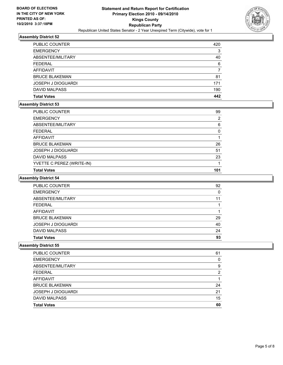

| PUBLIC COUNTER            | 420 |
|---------------------------|-----|
| <b>EMERGENCY</b>          | 3   |
| ABSENTEE/MILITARY         | 40  |
| <b>FEDERAL</b>            | 6   |
| <b>AFFIDAVIT</b>          |     |
| <b>BRUCE BLAKEMAN</b>     | 81  |
| <b>JOSEPH J DIOGUARDI</b> | 171 |
| <b>DAVID MALPASS</b>      | 190 |
| <b>Total Votes</b>        | 442 |

#### **Assembly District 53**

| <b>PUBLIC COUNTER</b>     | 99  |
|---------------------------|-----|
| <b>EMERGENCY</b>          | 2   |
| ABSENTEE/MILITARY         | 6   |
| <b>FEDERAL</b>            | 0   |
| AFFIDAVIT                 |     |
| <b>BRUCE BLAKEMAN</b>     | 26  |
| <b>JOSEPH J DIOGUARDI</b> | 51  |
| <b>DAVID MALPASS</b>      | 23  |
| YVETTE C PEREZ (WRITE-IN) |     |
| <b>Total Votes</b>        | 101 |

# **Assembly District 54**

| <b>PUBLIC COUNTER</b>     | 92 |
|---------------------------|----|
| <b>EMERGENCY</b>          | 0  |
| ABSENTEE/MILITARY         | 11 |
| <b>FEDERAL</b>            |    |
| AFFIDAVIT                 |    |
| <b>BRUCE BLAKEMAN</b>     | 29 |
| <b>JOSEPH J DIOGUARDI</b> | 40 |
| <b>DAVID MALPASS</b>      | 24 |
| <b>Total Votes</b>        | 93 |

| <b>PUBLIC COUNTER</b>     | 61 |
|---------------------------|----|
| <b>EMERGENCY</b>          | 0  |
| ABSENTEE/MILITARY         | 9  |
| <b>FEDERAL</b>            | 2  |
| AFFIDAVIT                 |    |
| <b>BRUCE BLAKEMAN</b>     | 24 |
| <b>JOSEPH J DIOGUARDI</b> | 21 |
| <b>DAVID MALPASS</b>      | 15 |
| <b>Total Votes</b>        | 60 |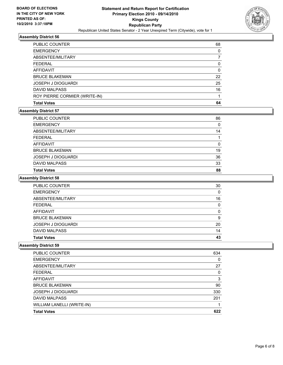

| <b>Total Votes</b>            | 64 |
|-------------------------------|----|
| ROY PIERRE CORMIER (WRITE-IN) |    |
| <b>DAVID MALPASS</b>          | 16 |
| <b>JOSEPH J DIOGUARDI</b>     | 25 |
| <b>BRUCE BLAKEMAN</b>         | 22 |
| AFFIDAVIT                     | 0  |
| <b>FEDERAL</b>                | 0  |
| ABSENTEE/MILITARY             |    |
| <b>EMERGENCY</b>              | 0  |
| PUBLIC COUNTER                | 68 |

# **Assembly District 57**

| <b>PUBLIC COUNTER</b>     | 86 |
|---------------------------|----|
| <b>EMERGENCY</b>          | 0  |
| ABSENTEE/MILITARY         | 14 |
| <b>FEDERAL</b>            |    |
| AFFIDAVIT                 | 0  |
| <b>BRUCE BLAKEMAN</b>     | 19 |
| <b>JOSEPH J DIOGUARDI</b> | 36 |
| <b>DAVID MALPASS</b>      | 33 |
| <b>Total Votes</b>        | 88 |

# **Assembly District 58**

| <b>PUBLIC COUNTER</b>     | 30 |
|---------------------------|----|
| <b>EMERGENCY</b>          | 0  |
| ABSENTEE/MILITARY         | 16 |
| <b>FEDERAL</b>            | 0  |
| AFFIDAVIT                 | 0  |
| <b>BRUCE BLAKEMAN</b>     | 9  |
| <b>JOSEPH J DIOGUARDI</b> | 20 |
| <b>DAVID MALPASS</b>      | 14 |
| <b>Total Votes</b>        | 43 |

| <b>Total Votes</b>         | 622 |
|----------------------------|-----|
| WILLIAM LANELLI (WRITE-IN) |     |
| <b>DAVID MALPASS</b>       | 201 |
| <b>JOSEPH J DIOGUARDI</b>  | 330 |
| <b>BRUCE BLAKEMAN</b>      | 90  |
| AFFIDAVIT                  | 3   |
| <b>FEDERAL</b>             | 0   |
| ABSENTEE/MILITARY          | 27  |
| <b>EMERGENCY</b>           | 0   |
| <b>PUBLIC COUNTER</b>      | 634 |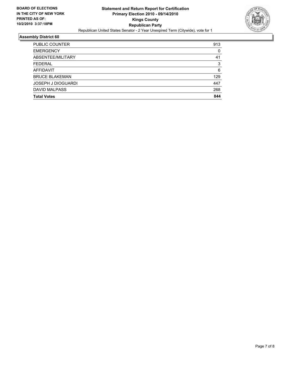

| <b>PUBLIC COUNTER</b> | 913 |
|-----------------------|-----|
| <b>EMERGENCY</b>      | 0   |
| ABSENTEE/MILITARY     | 41  |
| <b>FEDERAL</b>        | 3   |
| AFFIDAVIT             | 6   |
| <b>BRUCE BLAKEMAN</b> | 129 |
| JOSEPH J DIOGUARDI    | 447 |
| <b>DAVID MALPASS</b>  | 268 |
| <b>Total Votes</b>    | 844 |
|                       |     |